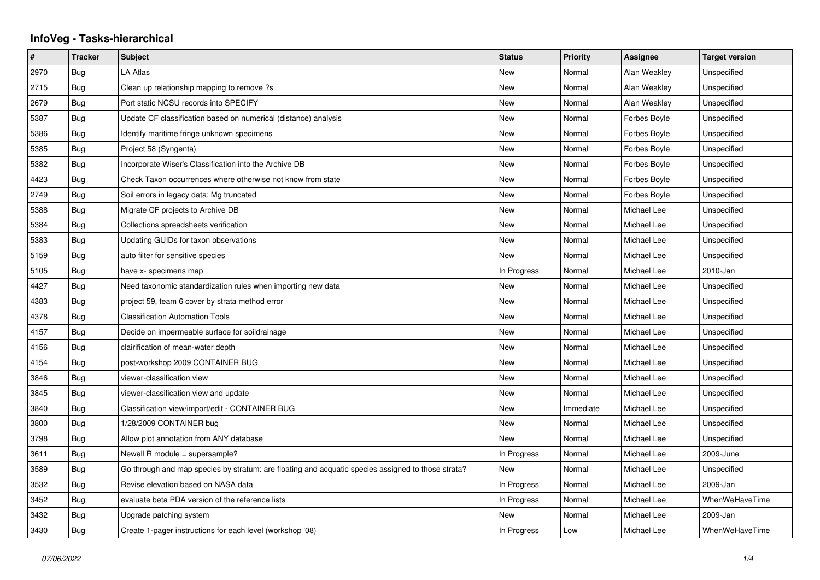## **InfoVeg - Tasks-hierarchical**

| $\#$ | <b>Tracker</b> | <b>Subject</b>                                                                                     | <b>Status</b> | <b>Priority</b> | Assignee     | <b>Target version</b> |
|------|----------------|----------------------------------------------------------------------------------------------------|---------------|-----------------|--------------|-----------------------|
| 2970 | Bug            | LA Atlas                                                                                           | <b>New</b>    | Normal          | Alan Weakley | Unspecified           |
| 2715 | Bug            | Clean up relationship mapping to remove ?s                                                         | <b>New</b>    | Normal          | Alan Weakley | Unspecified           |
| 2679 | <b>Bug</b>     | Port static NCSU records into SPECIFY                                                              | New           | Normal          | Alan Weakley | Unspecified           |
| 5387 | Bug            | Update CF classification based on numerical (distance) analysis                                    | <b>New</b>    | Normal          | Forbes Boyle | Unspecified           |
| 5386 | Bug            | Identify maritime fringe unknown specimens                                                         | <b>New</b>    | Normal          | Forbes Boyle | Unspecified           |
| 5385 | Bug            | Project 58 (Syngenta)                                                                              | New           | Normal          | Forbes Boyle | Unspecified           |
| 5382 | Bug            | Incorporate Wiser's Classification into the Archive DB                                             | <b>New</b>    | Normal          | Forbes Boyle | Unspecified           |
| 4423 | Bug            | Check Taxon occurrences where otherwise not know from state                                        | New           | Normal          | Forbes Boyle | Unspecified           |
| 2749 | Bug            | Soil errors in legacy data: Mg truncated                                                           | New           | Normal          | Forbes Boyle | Unspecified           |
| 5388 | Bug            | Migrate CF projects to Archive DB                                                                  | <b>New</b>    | Normal          | Michael Lee  | Unspecified           |
| 5384 | <b>Bug</b>     | Collections spreadsheets verification                                                              | New           | Normal          | Michael Lee  | Unspecified           |
| 5383 | Bug            | Updating GUIDs for taxon observations                                                              | New           | Normal          | Michael Lee  | Unspecified           |
| 5159 | Bug            | auto filter for sensitive species                                                                  | <b>New</b>    | Normal          | Michael Lee  | Unspecified           |
| 5105 | Bug            | have x- specimens map                                                                              | In Progress   | Normal          | Michael Lee  | 2010-Jan              |
| 4427 | <b>Bug</b>     | Need taxonomic standardization rules when importing new data                                       | New           | Normal          | Michael Lee  | Unspecified           |
| 4383 | Bug            | project 59, team 6 cover by strata method error                                                    | <b>New</b>    | Normal          | Michael Lee  | Unspecified           |
| 4378 | Bug            | <b>Classification Automation Tools</b>                                                             | New           | Normal          | Michael Lee  | Unspecified           |
| 4157 | <b>Bug</b>     | Decide on impermeable surface for soildrainage                                                     | New           | Normal          | Michael Lee  | Unspecified           |
| 4156 | Bug            | clairification of mean-water depth                                                                 | <b>New</b>    | Normal          | Michael Lee  | Unspecified           |
| 4154 | Bug            | post-workshop 2009 CONTAINER BUG                                                                   | New           | Normal          | Michael Lee  | Unspecified           |
| 3846 | <b>Bug</b>     | viewer-classification view                                                                         | New           | Normal          | Michael Lee  | Unspecified           |
| 3845 | Bug            | viewer-classification view and update                                                              | <b>New</b>    | Normal          | Michael Lee  | Unspecified           |
| 3840 | Bug            | Classification view/import/edit - CONTAINER BUG                                                    | New           | Immediate       | Michael Lee  | Unspecified           |
| 3800 | Bug            | 1/28/2009 CONTAINER bug                                                                            | <b>New</b>    | Normal          | Michael Lee  | Unspecified           |
| 3798 | Bug            | Allow plot annotation from ANY database                                                            | <b>New</b>    | Normal          | Michael Lee  | Unspecified           |
| 3611 | Bug            | Newell R module = supersample?                                                                     | In Progress   | Normal          | Michael Lee  | 2009-June             |
| 3589 | Bug            | Go through and map species by stratum: are floating and acquatic species assigned to those strata? | <b>New</b>    | Normal          | Michael Lee  | Unspecified           |
| 3532 | Bug            | Revise elevation based on NASA data                                                                | In Progress   | Normal          | Michael Lee  | 2009-Jan              |
| 3452 | Bug            | evaluate beta PDA version of the reference lists                                                   | In Progress   | Normal          | Michael Lee  | WhenWeHaveTime        |
| 3432 | Bug            | Upgrade patching system                                                                            | New           | Normal          | Michael Lee  | 2009-Jan              |
| 3430 | Bug            | Create 1-pager instructions for each level (workshop '08)                                          | In Progress   | Low             | Michael Lee  | WhenWeHaveTime        |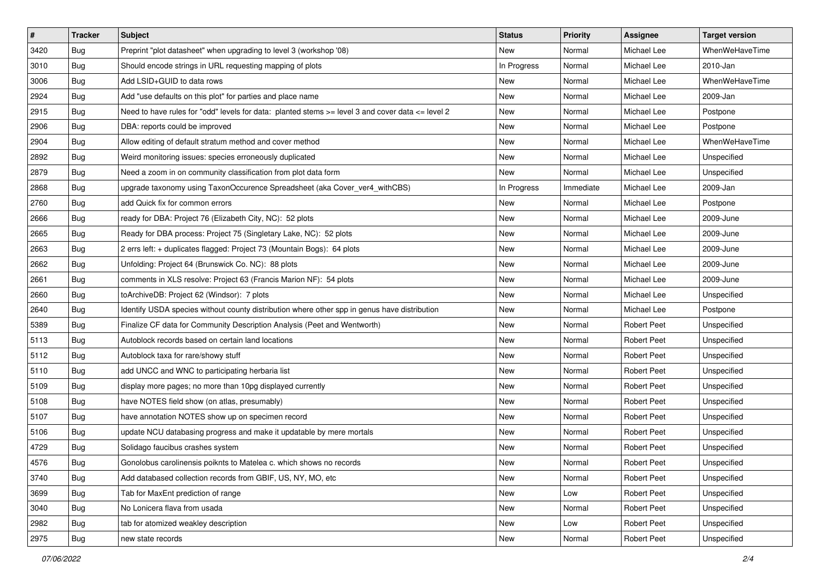| #    | <b>Tracker</b> | <b>Subject</b>                                                                                       | <b>Status</b> | <b>Priority</b> | <b>Assignee</b>    | <b>Target version</b> |
|------|----------------|------------------------------------------------------------------------------------------------------|---------------|-----------------|--------------------|-----------------------|
| 3420 | Bug            | Preprint "plot datasheet" when upgrading to level 3 (workshop '08)                                   | New           | Normal          | Michael Lee        | WhenWeHaveTime        |
| 3010 | <b>Bug</b>     | Should encode strings in URL requesting mapping of plots                                             | In Progress   | Normal          | Michael Lee        | 2010-Jan              |
| 3006 | <b>Bug</b>     | Add LSID+GUID to data rows                                                                           | New           | Normal          | Michael Lee        | WhenWeHaveTime        |
| 2924 | Bug            | Add "use defaults on this plot" for parties and place name                                           | New           | Normal          | Michael Lee        | 2009-Jan              |
| 2915 | Bug            | Need to have rules for "odd" levels for data: planted stems $>=$ level 3 and cover data $<=$ level 2 | New           | Normal          | Michael Lee        | Postpone              |
| 2906 | Bug            | DBA: reports could be improved                                                                       | New           | Normal          | Michael Lee        | Postpone              |
| 2904 | Bug            | Allow editing of default stratum method and cover method                                             | New           | Normal          | Michael Lee        | WhenWeHaveTime        |
| 2892 | Bug            | Weird monitoring issues: species erroneously duplicated                                              | New           | Normal          | Michael Lee        | Unspecified           |
| 2879 | Bug            | Need a zoom in on community classification from plot data form                                       | New           | Normal          | Michael Lee        | Unspecified           |
| 2868 | Bug            | upgrade taxonomy using TaxonOccurence Spreadsheet (aka Cover_ver4_withCBS)                           | In Progress   | Immediate       | Michael Lee        | 2009-Jan              |
| 2760 | Bug            | add Quick fix for common errors                                                                      | New           | Normal          | Michael Lee        | Postpone              |
| 2666 | Bug            | ready for DBA: Project 76 (Elizabeth City, NC): 52 plots                                             | New           | Normal          | Michael Lee        | 2009-June             |
| 2665 | Bug            | Ready for DBA process: Project 75 (Singletary Lake, NC): 52 plots                                    | New           | Normal          | Michael Lee        | 2009-June             |
| 2663 | Bug            | 2 errs left: + duplicates flagged: Project 73 (Mountain Bogs): 64 plots                              | New           | Normal          | Michael Lee        | 2009-June             |
| 2662 | <b>Bug</b>     | Unfolding: Project 64 (Brunswick Co. NC): 88 plots                                                   | <b>New</b>    | Normal          | Michael Lee        | 2009-June             |
| 2661 | Bug            | comments in XLS resolve: Project 63 (Francis Marion NF): 54 plots                                    | New           | Normal          | Michael Lee        | 2009-June             |
| 2660 | Bug            | toArchiveDB: Project 62 (Windsor): 7 plots                                                           | New           | Normal          | Michael Lee        | Unspecified           |
| 2640 | Bug            | Identify USDA species without county distribution where other spp in genus have distribution         | New           | Normal          | Michael Lee        | Postpone              |
| 5389 | Bug            | Finalize CF data for Community Description Analysis (Peet and Wentworth)                             | New           | Normal          | <b>Robert Peet</b> | Unspecified           |
| 5113 | <b>Bug</b>     | Autoblock records based on certain land locations                                                    | New           | Normal          | <b>Robert Peet</b> | Unspecified           |
| 5112 | Bug            | Autoblock taxa for rare/showy stuff                                                                  | New           | Normal          | <b>Robert Peet</b> | Unspecified           |
| 5110 | Bug            | add UNCC and WNC to participating herbaria list                                                      | New           | Normal          | <b>Robert Peet</b> | Unspecified           |
| 5109 | Bug            | display more pages; no more than 10pg displayed currently                                            | New           | Normal          | <b>Robert Peet</b> | Unspecified           |
| 5108 | <b>Bug</b>     | have NOTES field show (on atlas, presumably)                                                         | New           | Normal          | <b>Robert Peet</b> | Unspecified           |
| 5107 | Bug            | have annotation NOTES show up on specimen record                                                     | New           | Normal          | <b>Robert Peet</b> | Unspecified           |
| 5106 | Bug            | update NCU databasing progress and make it updatable by mere mortals                                 | <b>New</b>    | Normal          | <b>Robert Peet</b> | Unspecified           |
| 4729 | Bug            | Solidago faucibus crashes system                                                                     | New           | Normal          | <b>Robert Peet</b> | Unspecified           |
| 4576 | <b>Bug</b>     | Gonolobus carolinensis poiknts to Matelea c. which shows no records                                  | New           | Normal          | Robert Peet        | Unspecified           |
| 3740 | <b>Bug</b>     | Add databased collection records from GBIF, US, NY, MO, etc                                          | New           | Normal          | <b>Robert Peet</b> | Unspecified           |
| 3699 | <b>Bug</b>     | Tab for MaxEnt prediction of range                                                                   | New           | Low             | Robert Peet        | Unspecified           |
| 3040 | Bug            | No Lonicera flava from usada                                                                         | New           | Normal          | Robert Peet        | Unspecified           |
| 2982 | <b>Bug</b>     | tab for atomized weakley description                                                                 | New           | Low             | Robert Peet        | Unspecified           |
| 2975 | <b>Bug</b>     | new state records                                                                                    | New           | Normal          | Robert Peet        | Unspecified           |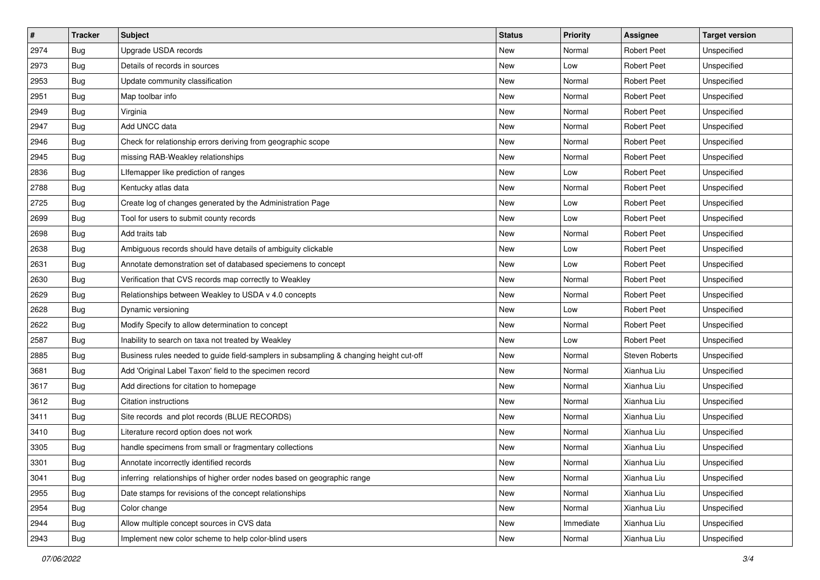| $\sharp$ | <b>Tracker</b> | Subject                                                                                | <b>Status</b> | <b>Priority</b> | <b>Assignee</b>       | <b>Target version</b> |
|----------|----------------|----------------------------------------------------------------------------------------|---------------|-----------------|-----------------------|-----------------------|
| 2974     | <b>Bug</b>     | Upgrade USDA records                                                                   | New           | Normal          | <b>Robert Peet</b>    | Unspecified           |
| 2973     | Bug            | Details of records in sources                                                          | New           | Low             | <b>Robert Peet</b>    | Unspecified           |
| 2953     | Bug            | Update community classification                                                        | New           | Normal          | <b>Robert Peet</b>    | Unspecified           |
| 2951     | Bug            | Map toolbar info                                                                       | New           | Normal          | <b>Robert Peet</b>    | Unspecified           |
| 2949     | Bug            | Virginia                                                                               | New           | Normal          | <b>Robert Peet</b>    | Unspecified           |
| 2947     | Bug            | Add UNCC data                                                                          | New           | Normal          | <b>Robert Peet</b>    | Unspecified           |
| 2946     | Bug            | Check for relationship errors deriving from geographic scope                           | New           | Normal          | <b>Robert Peet</b>    | Unspecified           |
| 2945     | Bug            | missing RAB-Weakley relationships                                                      | New           | Normal          | <b>Robert Peet</b>    | Unspecified           |
| 2836     | Bug            | Lifemapper like prediction of ranges                                                   | New           | Low             | <b>Robert Peet</b>    | Unspecified           |
| 2788     | <b>Bug</b>     | Kentucky atlas data                                                                    | New           | Normal          | <b>Robert Peet</b>    | Unspecified           |
| 2725     | Bug            | Create log of changes generated by the Administration Page                             | New           | Low             | <b>Robert Peet</b>    | Unspecified           |
| 2699     | Bug            | Tool for users to submit county records                                                | New           | Low             | <b>Robert Peet</b>    | Unspecified           |
| 2698     | Bug            | Add traits tab                                                                         | New           | Normal          | <b>Robert Peet</b>    | Unspecified           |
| 2638     | Bug            | Ambiguous records should have details of ambiguity clickable                           | New           | Low             | <b>Robert Peet</b>    | Unspecified           |
| 2631     | <b>Bug</b>     | Annotate demonstration set of databased speciemens to concept                          | <b>New</b>    | Low             | <b>Robert Peet</b>    | Unspecified           |
| 2630     | Bug            | Verification that CVS records map correctly to Weakley                                 | New           | Normal          | <b>Robert Peet</b>    | Unspecified           |
| 2629     | Bug            | Relationships between Weakley to USDA v 4.0 concepts                                   | New           | Normal          | <b>Robert Peet</b>    | Unspecified           |
| 2628     | Bug            | Dynamic versioning                                                                     | New           | Low             | <b>Robert Peet</b>    | Unspecified           |
| 2622     | <b>Bug</b>     | Modify Specify to allow determination to concept                                       | New           | Normal          | <b>Robert Peet</b>    | Unspecified           |
| 2587     | <b>Bug</b>     | Inability to search on taxa not treated by Weakley                                     | New           | Low             | <b>Robert Peet</b>    | Unspecified           |
| 2885     | <b>Bug</b>     | Business rules needed to guide field-samplers in subsampling & changing height cut-off | New           | Normal          | <b>Steven Roberts</b> | Unspecified           |
| 3681     | Bug            | Add 'Original Label Taxon' field to the specimen record                                | New           | Normal          | Xianhua Liu           | Unspecified           |
| 3617     | Bug            | Add directions for citation to homepage                                                | New           | Normal          | Xianhua Liu           | Unspecified           |
| 3612     | Bug            | Citation instructions                                                                  | New           | Normal          | Xianhua Liu           | Unspecified           |
| 3411     | Bug            | Site records and plot records (BLUE RECORDS)                                           | New           | Normal          | Xianhua Liu           | Unspecified           |
| 3410     | Bug            | Literature record option does not work                                                 | New           | Normal          | Xianhua Liu           | Unspecified           |
| 3305     | Bug            | handle specimens from small or fragmentary collections                                 | New           | Normal          | Xianhua Liu           | Unspecified           |
| 3301     | <b>Bug</b>     | Annotate incorrectly identified records                                                | New           | Normal          | Xianhua Liu           | Unspecified           |
| 3041     | <b>Bug</b>     | inferring relationships of higher order nodes based on geographic range                | New           | Normal          | Xianhua Liu           | Unspecified           |
| 2955     | <b>Bug</b>     | Date stamps for revisions of the concept relationships                                 | New           | Normal          | Xianhua Liu           | Unspecified           |
| 2954     | Bug            | Color change                                                                           | New           | Normal          | Xianhua Liu           | Unspecified           |
| 2944     | <b>Bug</b>     | Allow multiple concept sources in CVS data                                             | New           | Immediate       | Xianhua Liu           | Unspecified           |
| 2943     | <b>Bug</b>     | Implement new color scheme to help color-blind users                                   | New           | Normal          | Xianhua Liu           | Unspecified           |